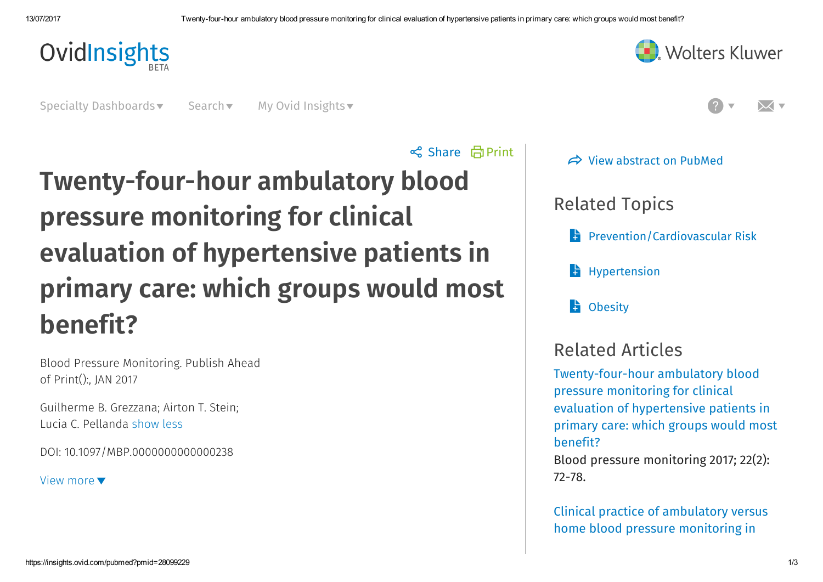

**Noters Kluwer** 

Specialty Dashboards v Search v My Ovid Insights v

 Print Share Twenty-four-hour ambulatory blood pressure monitoring for clinical evaluation of hypertensive patients in primary care: which groups would most benefit?

Blood Pressure Monitoring. Publish Ahead of Print():, JAN 2017

Guilherme B. Grezzana; Airton T. Stein; Lucia C. Pellanda show less

DOI: 10.1097/MBP.0000000000000238

View more



 $\Rightarrow$  View [abstract](https://www.ncbi.nlm.nih.gov/pubmed/00126097-900000000-99577) on PubMed

Related Topics

**[Prevention/Cardiovascular](https://www.ovidinsights.com/results.php?livequery=580&datasource=PHR&context=viewpubalert) Risk** 

**[Hypertension](https://www.ovidinsights.com/results.php?livequery=645&datasource=PHR&context=viewpubalert)** 

**H** [Obesity](https://www.ovidinsights.com/results.php?livequery=651&datasource=PHR&context=viewpubalert)

# Related Articles

[Twenty-four-hour](https://insights.ovid.com/pubmed?pmid=28099229) ambulatory blood pressure monitoring for clinical evaluation of hypertensive patients in primary care: which groups would most benefit?

Blood pressure monitoring 2017; 22(2): 72-78.

Clinical practice of [ambulatory](https://insights.ovid.com/pubmed?pmid=26110369) versus home blood pressure monitoring in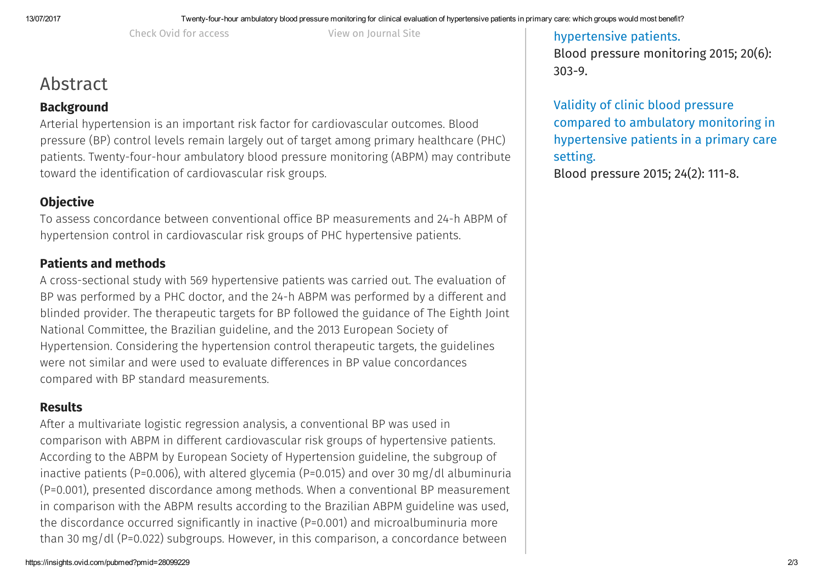Check Ovid for [access](https://ovidsp.ovid.com/ovidweb.cgi?T=JS&CSC=Y&NEWS=N&PAGE=fulltext&AN=00126097-900000000-99577&LSLINK=80&D=ovft&CHANNEL=PubMed) View on [Journal](https://journals.lww.com/bpmonitoring/fulltext/10.1097/MBP.0000000000000238) Site

## Abstract

### **Background**

Arterial hypertension is an important risk factor for cardiovascular outcomes. Blood pressure (BP) control levels remain largely out of target among primary healthcare (PHC) patients. Twenty-four-hour ambulatory blood pressure monitoring (ABPM) may contribute toward the identification of cardiovascular risk groups.

## **Objective**

To assess concordance between conventional office BP measurements and 24-h ABPM of hypertension control in cardiovascular risk groups of PHC hypertensive patients.

### Patients and methods

A cross-sectional study with 569 hypertensive patients was carried out. The evaluation of BP was performed by a PHC doctor, and the 24-h ABPM was performed by a different and blinded provider. The therapeutic targets for BP followed the guidance of The Eighth Joint National Committee, the Brazilian guideline, and the 2013 European Society of Hypertension. Considering the hypertension control therapeutic targets, the guidelines were not similar and were used to evaluate differences in BP value concordances compared with BP standard measurements.

#### **Results**

After a multivariate logistic regression analysis, a conventional BP was used in comparison with ABPM in different cardiovascular risk groups of hypertensive patients. According to the ABPM by European Society of Hypertension guideline, the subgroup of inactive patients (P=0.006), with altered glycemia (P=0.015) and over 30 mg/dl albuminuria (P=0.001), presented discordance among methods. When a conventional BP measurement in comparison with the ABPM results according to the Brazilian ABPM guideline was used, the discordance occurred significantly in inactive (P=0.001) and microalbuminuria more than 30 mg/dl (P=0.022) subgroups. However, in this comparison, a concordance between

[hypertensive](https://insights.ovid.com/pubmed?pmid=26110369) patients. Blood pressure monitoring 2015; 20(6):

303-9.

Validity of clinic blood pressure compared to ambulatory monitoring in [hypertensive](https://insights.ovid.com/pubmed?pmid=25588075) patients in a primary care setting.

Blood pressure 2015; 24(2): 111-8.